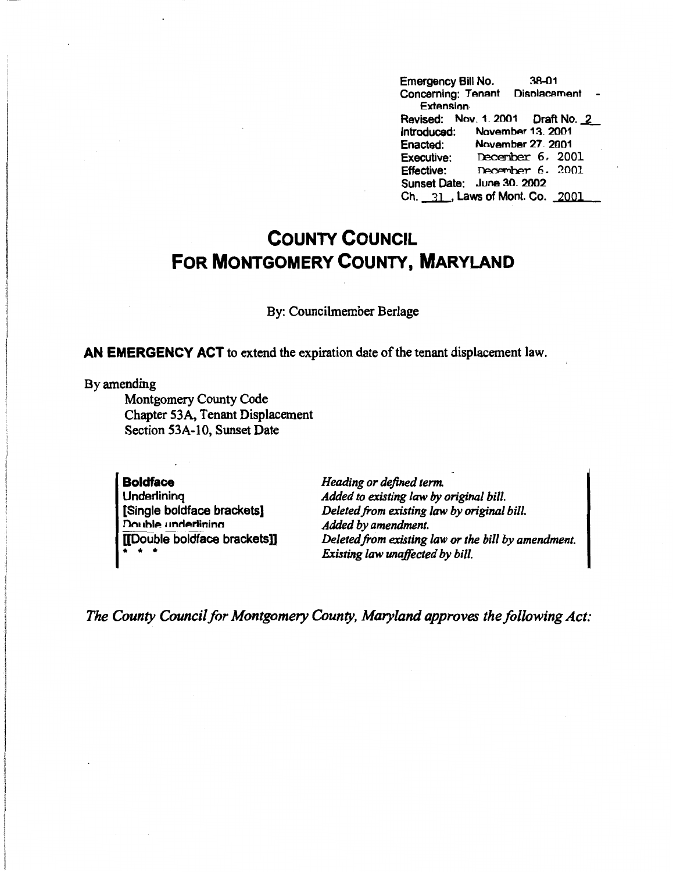Emergency Bill No. 38-01 Concerning: Tenant Disnlacement **Extension.**  Revised: Nov.1.2001 Draft No. 2 Introduced: November 13. 2001<br>Enacted: November 27. 2001 Enacted: **November** 27 2001 Executive: December 6, 2001<br>Effective: December 6, 2001 December 6. 2001 Sunset Date: June 30. 2002 Ch. 31, Laws of Mont. Co. 2001

## **COUNTY COUNCIL FOR MONTGOMERY COUNTY, MARYLAND**

By: Councilmember Berlage

**AN EMERGENCY ACT** to extend the expiration date of the tenant displacement law.

By amending

Montgomery County Code Chapter 53A, Tenant Displacement Section 53A-10, Sunset Date

## **Boldface Underlining**

[Single boldface brackets] **Double underlining** [[Double boldface brackets]] \* \* \*

*Heading or defined term. Added to existing law by original bill. Deleted from existing law by original bill. Added by amendment. Deleted from existing law or the bill by amendment. Existing law unaffected by bill.* 

*The County Council for Montgomery County, Maryland approves the following Act:*